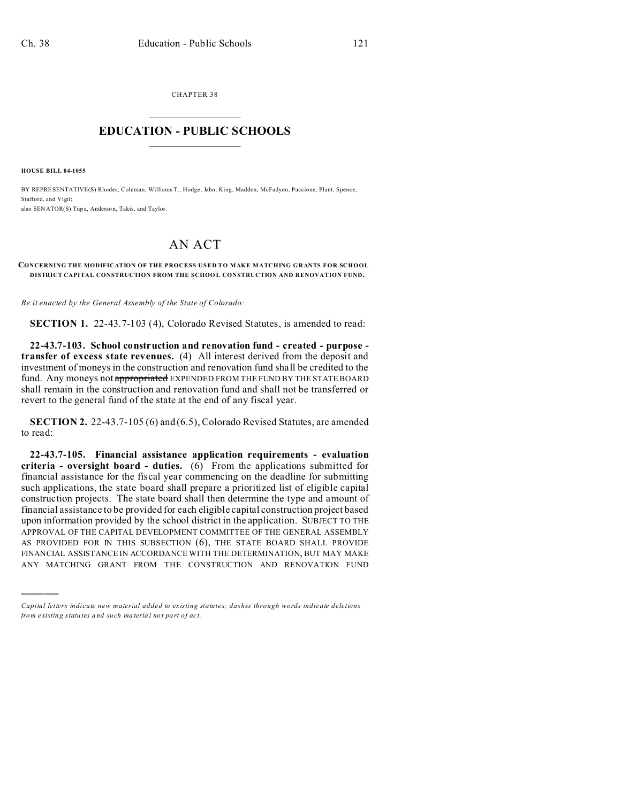CHAPTER 38  $\overline{\phantom{a}}$  , where  $\overline{\phantom{a}}$ 

## **EDUCATION - PUBLIC SCHOOLS**  $\_$   $\_$   $\_$   $\_$   $\_$   $\_$   $\_$   $\_$   $\_$

**HOUSE BILL 04-1055**

)))))

BY REPRESENTATIVE(S) Rhodes, Coleman, Williams T., Hodge, Jahn, King, Madden, McFadyen, Paccione, Plant, Spence, Stafford, and Vigil: also SENATOR(S) Tup a, Anderson, Takis, and Taylor.

## AN ACT

## **CONCERNING THE MODIFICATION OF THE PROCESS USED TO MAKE MATCHING GRANTS FOR SCHOOL DISTRICT CAPITAL CONSTRUCTION FROM THE SCHOOL CONSTRUCTION AND RENOVATION FUND.**

*Be it enacted by the General Assembly of the State of Colorado:*

**SECTION 1.** 22-43.7-103 (4), Colorado Revised Statutes, is amended to read:

**22-43.7-103. School construction and renovation fund - created - purpose transfer of excess state revenues.** (4) All interest derived from the deposit and investment of moneys in the construction and renovation fund shall be credited to the fund. Any moneys not appropriated EXPENDED FROM THE FUND BY THE STATE BOARD shall remain in the construction and renovation fund and shall not be transferred or revert to the general fund of the state at the end of any fiscal year.

**SECTION 2.** 22-43.7-105 (6) and (6.5), Colorado Revised Statutes, are amended to read:

**22-43.7-105. Financial assistance application requirements - evaluation criteria - oversight board - duties.** (6) From the applications submitted for financial assistance for the fiscal year commencing on the deadline for submitting such applications, the state board shall prepare a prioritized list of eligible capital construction projects. The state board shall then determine the type and amount of financial assistance to be provided for each eligible capital construction project based upon information provided by the school district in the application. SUBJECT TO THE APPROVAL OF THE CAPITAL DEVELOPMENT COMMITTEE OF THE GENERAL ASSEMBLY AS PROVIDED FOR IN THIS SUBSECTION (6), THE STATE BOARD SHALL PROVIDE FINANCIAL ASSISTANCE IN ACCORDANCE WITH THE DETERMINATION, BUT MAY MAKE ANY MATCHING GRANT FROM THE CONSTRUCTION AND RENOVATION FUND

*Capital letters indicate new material added to existing statutes; dashes through words indicate deletions from e xistin g statu tes a nd such ma teria l no t pa rt of ac t.*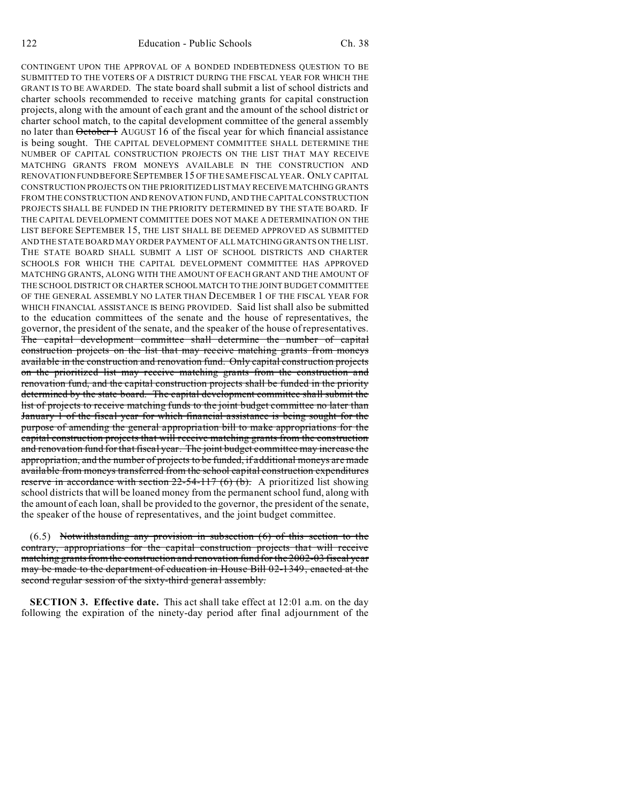CONTINGENT UPON THE APPROVAL OF A BONDED INDEBTEDNESS QUESTION TO BE SUBMITTED TO THE VOTERS OF A DISTRICT DURING THE FISCAL YEAR FOR WHICH THE GRANT IS TO BE AWARDED. The state board shall submit a list of school districts and charter schools recommended to receive matching grants for capital construction projects, along with the amount of each grant and the amount of the school district or charter school match, to the capital development committee of the general assembly no later than October 1 AUGUST 16 of the fiscal year for which financial assistance is being sought. THE CAPITAL DEVELOPMENT COMMITTEE SHALL DETERMINE THE NUMBER OF CAPITAL CONSTRUCTION PROJECTS ON THE LIST THAT MAY RECEIVE MATCHING GRANTS FROM MONEYS AVAILABLE IN THE CONSTRUCTION AND RENOVATION FUND BEFORE SEPTEMBER 15 OF THE SAME FISCAL YEAR. ONLY CAPITAL CONSTRUCTION PROJECTS ON THE PRIORITIZED LIST MAY RECEIVE MATCHING GRANTS FROM THE CONSTRUCTION AND RENOVATION FUND, AND THE CAPITAL CONSTRUCTION PROJECTS SHALL BE FUNDED IN THE PRIORITY DETERMINED BY THE STATE BOARD. IF THE CAPITAL DEVELOPMENT COMMITTEE DOES NOT MAKE A DETERMINATION ON THE LIST BEFORE SEPTEMBER 15, THE LIST SHALL BE DEEMED APPROVED AS SUBMITTED AND THE STATE BOARD MAY ORDER PAYMENT OF ALL MATCHING GRANTS ON THE LIST. THE STATE BOARD SHALL SUBMIT A LIST OF SCHOOL DISTRICTS AND CHARTER SCHOOLS FOR WHICH THE CAPITAL DEVELOPMENT COMMITTEE HAS APPROVED MATCHING GRANTS, ALONG WITH THE AMOUNT OF EACH GRANT AND THE AMOUNT OF THE SCHOOL DISTRICT OR CHARTER SCHOOLMATCH TO THE JOINT BUDGET COMMITTEE OF THE GENERAL ASSEMBLY NO LATER THAN DECEMBER 1 OF THE FISCAL YEAR FOR WHICH FINANCIAL ASSISTANCE IS BEING PROVIDED. Said list shall also be submitted to the education committees of the senate and the house of representatives, the governor, the president of the senate, and the speaker of the house of representatives. The capital development committee shall determine the number of capital construction projects on the list that may receive matching grants from moneys available in the construction and renovation fund. Only capital construction projects on the prioritized list may receive matching grants from the construction and renovation fund, and the capital construction projects shall be funded in the priority determined by the state board. The capital development committee shall submit the list of projects to receive matching funds to the joint budget committee no later than January 1 of the fiscal year for which financial assistance is being sought for the purpose of amending the general appropriation bill to make appropriations for the capital construction projects that will receive matching grants from the construction and renovation fund for that fiscal year. The joint budget committee may increase the appropriation, and the number of projects to be funded, if additional moneys are made available from moneys transferred from the school capital construction expenditures reserve in accordance with section  $22-54-117(6)$  (b). A prioritized list showing school districts that will be loaned money from the permanent school fund, along with the amount of each loan, shall be provided to the governor, the president of the senate, the speaker of the house of representatives, and the joint budget committee.

 $(6.5)$  Notwithstanding any provision in subsection  $(6)$  of this section to the contrary, appropriations for the capital construction projects that will receive matching grants from the construction and renovation fund for the 2002-03 fiscal year may be made to the department of education in House Bill 02-1349, enacted at the second regular session of the sixty-third general assembly.

**SECTION 3. Effective date.** This act shall take effect at 12:01 a.m. on the day following the expiration of the ninety-day period after final adjournment of the